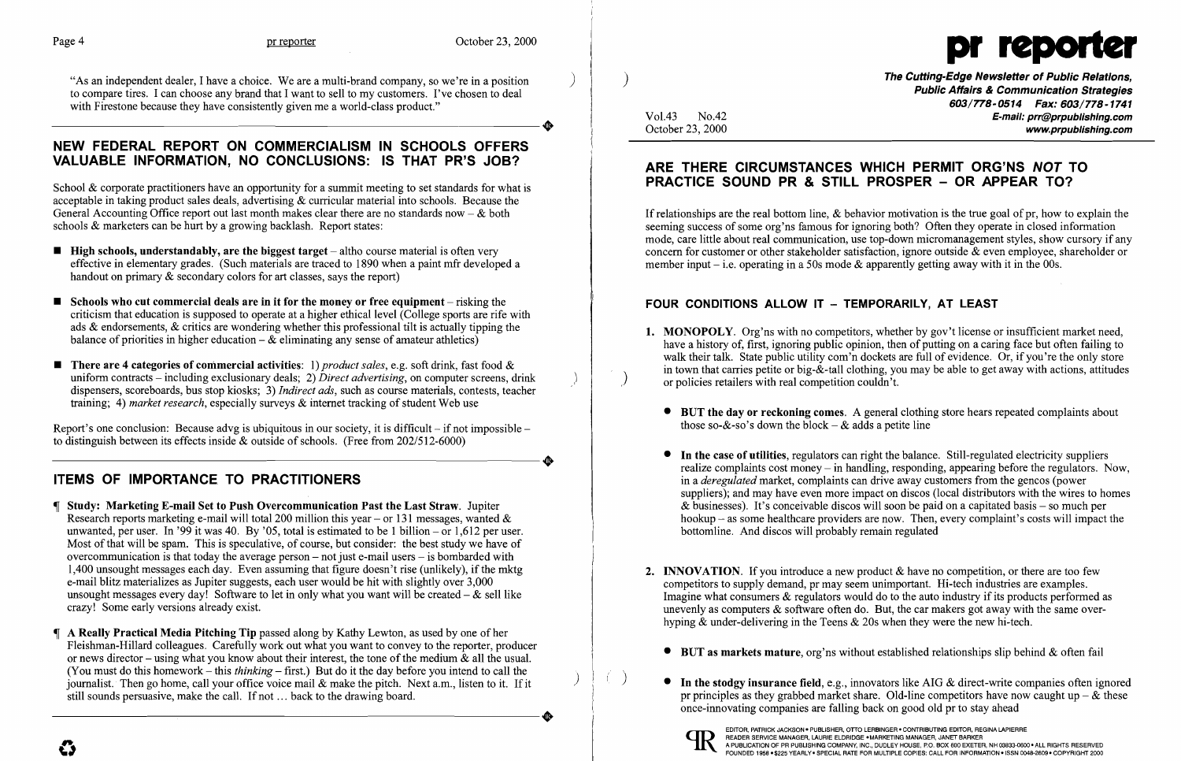"As an independent dealer, I have a choice. We are a multi-brand company, so we're in a position to compare tires. I can choose any brand that I want to sell to my customers. I've chosen to deal<br>with Firestone because they have consistently given me a world-class product."<br>A HEMALE FERERAL REBORE ON CONNERCIAL IOM, IN with Firestone because they have consistently given me a world-class product."

#### NEW FEDERAL REPORT ON COMMERCIALISM IN SCHOOLS OFFERS VALUABLE INFORMATION, NO CONCLUSIONS: IS THAT PR'S JOB?

School & corporate practitioners have an opportunity for a summit meeting to set standards for what is acceptable in taking product sales deals, advertising & curricular material into schools. Because the General Accounting Office report out last month makes clear there are no standards now  $-\&$  both schools & marketers can be hurt by a growing backlash. Report states:

- $\blacksquare$  High schools, understandably, are the biggest target  $-$  altho course material is often very effective in elementary grades. (Such materials are traced to 1890 when a paint mfr developed a handout on primary & secondary colors for art classes, says the report)
- $\blacksquare$  Schools who cut commercial deals are in it for the money or free equipment risking the criticism that education is supposed to operate at a higher ethical level (College sports are rife with ads & endorsements, & critics are wondering whether this professional tilt is actually tipping the balance of priorities in higher education  $-\&$  eliminating any sense of amateur athletics)
- There are 4 categories of commercial activities: 1) *product sales*, e.g. soft drink, fast food & uniform contracts – including exclusionary deals; 2) *Direct advertising*, on computer screens, drink dispensers, scoreboards, bus stop kiosks; 3) *Indirect ads,* such as course materials, contests, teacher training; 4) *market research,* especially surveys & internet tracking of student Web use

Report's one conclusion: Because advg is ubiquitous in our society, it is difficult – if not impossible –<br>to distinguish between its effects inside & outside of schools. (Free from 202/512-6000) to distinguish between its effects inside & outside of schools. (Free from 202/512-6000)

) The Cutting-Edge Newsletter of Public Relations, Public Affairs & Communication Strategies 603/778-0514 Fax: 603/778-1741 Vol.43 No.42 **E-mail: prr@prpublishing.com**<br>October 23, 2000 **E-mail: prr@prpublishing.com** www.prpublishing.com

1. MONOPOLY. Org'ns with no competitors, whether by gov't license or insufficient market need, have a history of, first, ignoring public opinion, then of putting on a caring face but often failing to walk their talk. State public utility com'n dockets are full of evidence. Or, if you're the only store in town that carries petite or big- $\&$ -tall clothing, you may be able to get away with actions, attitudes or policies retailers with real competition couldn't.

• BUT the day or reckoning comes. A general clothing store hears repeated complaints about

In the case of utilities, regulators can right the balance. Still-regulated electricity suppliers realize complaints cost money – in handling, responding, appearing before the regulators. Now, in a *deregulated* market, complaints can drive away customers from the gencos (power suppliers); and may have even more impact on discos (local distributors with the wires to homes & businesses). It's conceivable discos will soon be paid on a capitated basis – so much per hookup – as some healthcare providers are now. Then, every complaint's costs will impact the

If relationships are the real bottom line, & behavior motivation is the true goal of pr, how to explain the seeming success of some org'ns famous for ignoring both? Often they operate in closed information mode, care little about real communication, use top-down micromanagement styles, show cursory if any concern for customer or other stakeholder satisfaction, ignore outside & even employee, shareholder or member input – i.e. operating in a 50s mode  $\&$  apparently getting away with it in the 00s.

#### FOUR CONDITIONS ALLOW IT - TEMPORARILY, AT LEAST

## ITEMS OF IMPORTANCE TO PRACTITIONERS

- Study: Marketing E-mail Set to Push Overcommunication Past the Last Straw. Jupiter Research reports marketing e-mail will total 200 million this year – or 131 messages, wanted  $\&$ unwanted, per user. In '99 it was 40. By '05, total is estimated to be 1 billion  $-$  or 1,612 per user. Most of that will be spam. This is speculative, of course, but consider: the best study we have of overcommunication is that today the average person  $-$  not just e-mail users  $-$  is bombarded with 1,400 unsought messages each day. Even assuming that figure doesn't rise (unlikely), if the mktg e-mail blitz materializes as Jupiter suggests, each user would be hit with slightly over 3,000 unsought messages every day! Software to let in only what you want will be created  $-\&$  sell like crazy! Some early versions already exist.
- A Really Practical Media Pitching Tip passed along by Kathy Lewton, as used by one of her Fleishman-Hillard colleagues. Carefully work out what you want to convey to the reporter, producer or news director – using what you know about their interest, the tone of the medium  $\&$  all the usual. (You must do this homework  $-$  this *thinking*  $-$  first.) But do it the day before you intend to call the journalist. Then go home, call your office voice mail & make the pitch. Next a.m., listen to it. If it still sounds persuasive, make the call. If not ... back to the drawing board. still sounds persuasive, make the call. If not ... back to the drawing board.

Imagine what consumers & regulators would do to the auto industry if its products performed as unevenly as computers & software often do. But, the car makers got away with the same over-

• BUT as markets mature, org'ns without established relationships slip behind  $\&$  often fail

 $\bullet$  In the stodgy insurance field, e.g., innovators like AIG & direct-write companies often ignored pr principles as they grabbed market share. Old-line competitors have now caught up  $-\&$  these

- - those so-&-so's down the block  $-\&$  adds a petite line
	- bottomline. And discos will probably remain regulated
- **2.** INNOVATION. If you introduce a new product  $\&$  have no competition, or there are too few competitors to supply demand, pr may seem unimportant. Hi-tech industries are examples. hyping & under-delivering in the Teens & 20s when they were the new hi-tech.
	-
	- once-innovating companies are falling back on good old pr to stay ahead

)

)



### ARE THERE CIRCUMSTANCES WHICH PERMIT ORG'NS NOT TO PRACTICE SOUND PR & STILL PROSPER - OR APPEAR TO?